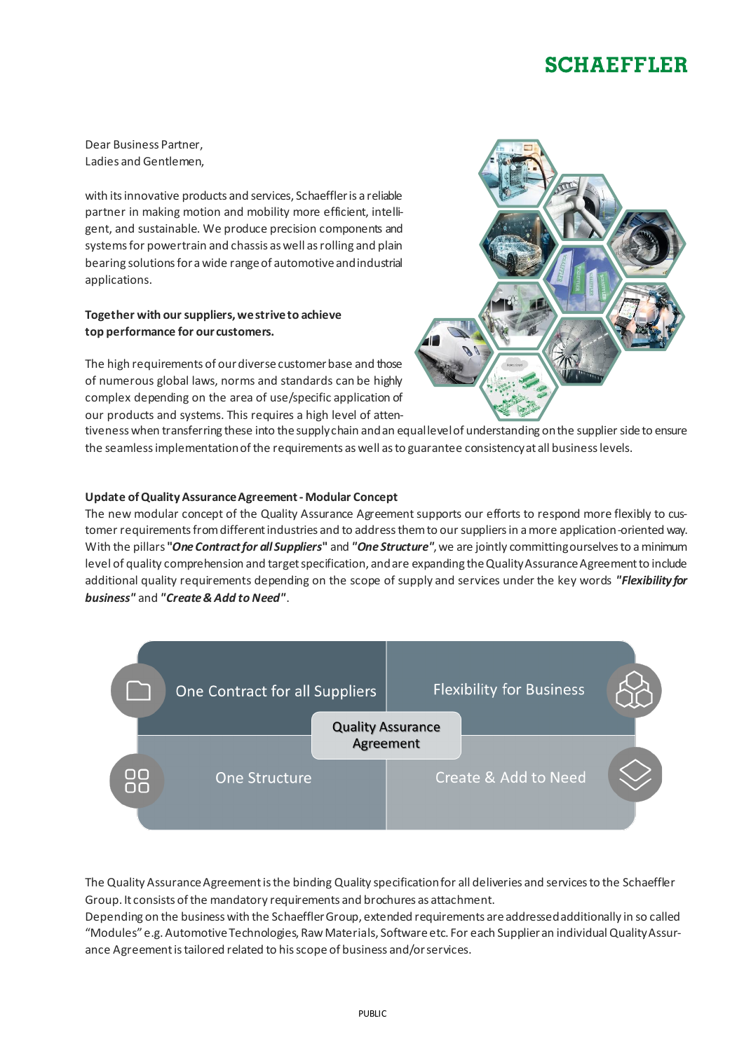## **SCHAEFFLER**

Dear Business Partner, Ladies and Gentlemen,

with its innovative products and services, Schaeffler is a reliable partner in making motion and mobility more efficient, intelligent, and sustainable. We produce precision components and systems for powertrain and chassis as well as rolling and plain bearing solutions for a wide range of automotive and industrial applications.

## **Together with our suppliers, we strive to achieve top performance for our customers.**

The high requirements of our diverse customer base and those of numerous global laws, norms and standards can be highly complex depending on the area of use/specific application of our products and systems. This requires a high level of atten-



tiveness when transferring these into the supply chain and an equal level of understanding on the supplier side to ensure the seamless implementation of the requirements as well as to guarantee consistency at all business levels.

## **Update of Quality Assurance Agreement - Modular Concept**

The new modular concept of the Quality Assurance Agreement supports our efforts to respond more flexibly to customer requirements from different industries and to address them to our suppliers in a more application-oriented way. With the pillars **"***One Contract for all Suppliers***"** and *"One Structure"*, we are jointly committing ourselves to a minimum level of quality comprehension and target specification, and are expanding the Quality Assurance Agreement to include additional quality requirements depending on the scope of supply and services under the key words *"Flexibility for business"* and *"Create & Add to Need"*.



The Quality Assurance Agreement is the binding Quality specification for all deliveries and services to the Schaeffler Group. It consists of the mandatory requirements and brochures as attachment.

Depending on the business with the Schaeffler Group, extended requirements are addressed additionally in so called "Modules" e.g. Automotive Technologies, Raw Materials, Software etc. For each Supplier an individual Quality Assurance Agreement is tailored related to his scope of business and/or services.